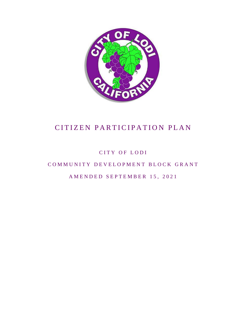

CITY OF LODI

COMMUNITY DEVELOPMENT BLOCK GRANT

AMENDED SEPTEMBER 15, 2021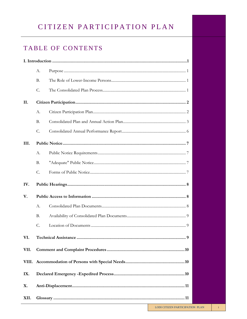## TABLE OF CONTENTS

 $\sim$ 

|      | A.                        |  |  |
|------|---------------------------|--|--|
|      | B.                        |  |  |
|      | C.                        |  |  |
| II.  |                           |  |  |
|      | A.                        |  |  |
|      | B.                        |  |  |
|      | C.                        |  |  |
| III. |                           |  |  |
|      | $A$ .                     |  |  |
|      | B.                        |  |  |
|      | C.                        |  |  |
| IV.  |                           |  |  |
| V.   |                           |  |  |
|      | $A$ .                     |  |  |
|      | B.                        |  |  |
|      | C.                        |  |  |
| VI.  | 9<br>Technical Assistance |  |  |
| VII. |                           |  |  |
|      |                           |  |  |
| IX.  |                           |  |  |
| X.   |                           |  |  |
| XII. |                           |  |  |
|      |                           |  |  |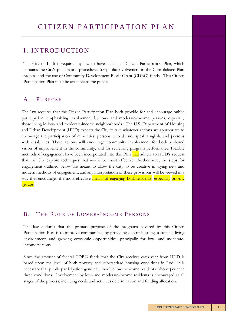### I. INTRODUCTION

The City of Lodi is required by law to have a detailed Citizen Participation Plan, which contains the City's policies and procedures for public involvement in the Consolidated Plan process and the use of Community Development Block Grant (CDBG) funds. This Citizen Participation Plan must be available to the public.

### A. PURPOSE

The law requires that the Citizen Participation Plan both provide for and encourage public participation, emphasizing involvement by low- and moderate-income persons, especially those living in low- and moderate-income neighborhoods. The U.S. Department of Housing and Urban Development (HUD) expects the City to take whatever actions are appropriate to encourage the participation of minorities, persons who do not speak English, and persons with disabilities. These actions will encourage community involvement for both a shared vision of improvement in the community, and for reviewing program performance. Flexible methods of engagement have been incorporated into this Plan that adhere to HUD's request that the City explore techniques that would be most effective. Furthermore, the steps for engagement outlined below are meant to allow the City to be creative in trying new and modern methods of engagement, and any interpretation of these provisions will be viewed in a way that encourages the most effective means of engaging Lodi residents, especially priority groups.

#### B. THE ROLE OF LOWER-INCOME PERSONS

The law declares that the primary purpose of the programs covered by this Citizen Participation Plan is to improve communities by providing decent housing, a suitable living environment, and growing economic opportunities, principally for low- and moderateincome persons.

Since the amount of federal CDBG funds that the City receives each year from HUD is based upon the level of both poverty and substandard housing conditions in Lodi, it is necessary that public participation genuinely involve lower-income residents who experience these conditions. Involvement by low- and moderate-income residents is encouraged at all stages of the process, including needs and activities determination and funding allocation.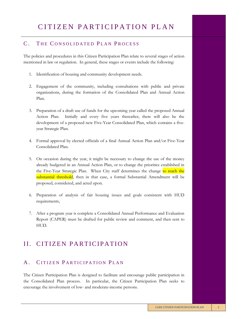#### C. THE CONSOLIDATED PLAN PROCESS

The policies and procedures in this Citizen Participation Plan relate to several stages of action mentioned in law or regulation. In general, these stages or events include the following:

- 1. Identification of housing and community development needs.
- 2. Engagement of the community, including consultations with public and private organizations, during the formation of the Consolidated Plan and Annual Action Plan.
- 3. Preparation of a draft use of funds for the upcoming year called the proposed Annual Action Plan. Initially and every five years thereafter, there will also be the development of a proposed new Five-Year Consolidated Plan, which contains a fiveyear Strategic Plan.
- 4. Formal approval by elected officials of a final Annual Action Plan and/or Five-Year Consolidated Plan.
- 5. On occasion during the year, it might be necessary to change the use of the money already budgeted in an Annual Action Plan, or to change the priorities established in the Five-Year Strategic Plan. When City staff determines the change to reach the substantial threshold, then in that case, a formal Substantial Amendment will be proposed, considered, and acted upon.
- 6. Preparation of analysis of fair housing issues and goals consistent with HUD requirements,
- 7. After a program year is complete a Consolidated Annual Performance and Evaluation Report (CAPER) must be drafted for public review and comment, and then sent to HUD.

## II. CITIZEN PARTICIPATION

### A. CITIZEN PARTICIPATION PLAN

The Citizen Participation Plan is designed to facilitate and encourage public participation in the Consolidated Plan process. In particular, the Citizen Participation Plan seeks to encourage the involvement of low- and moderate-income persons.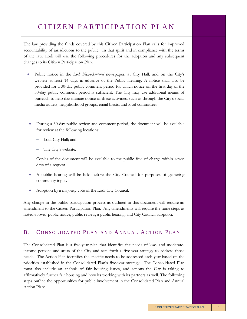The law providing the funds covered by this Citizen Participation Plan calls for improved accountability of jurisdictions to the public. In that spirit and in compliance with the terms of the law, Lodi will use the following procedures for the adoption and any subsequent changes to its Citizen Participation Plan:

- Public notice in the *Lodi News-Sentinel* newspaper, at City Hall, and on the City's website at least 14 days in advance of the Public Hearing. A notice shall also be provided for a 30-day public comment period for which notice on the first day of the 30-day public comment period is sufficient. The City may use additional means of outreach to help disseminate notice of these activities, such as through the City's social media outlets, neighborhood groups, email blasts, and local committees
	- During a 30-day public review and comment period, the document will be available for review at the following locations:
		- Lodi City Hall; and
		- The City's website.

Copies of the document will be available to the public free of charge within seven days of a request.

- A public hearing will be held before the City Council for purposes of gathering community input.
- Adoption by a majority vote of the Lodi City Council.

Any change in the public participation process as outlined in this document will require an amendment to the Citizen Participation Plan. Any amendments will require the same steps as noted above: public notice, public review, a public hearing, and City Council adoption.

#### B. CONSOLIDATED PLAN AND ANNUAL ACTION PLAN

The Consolidated Plan is a five-year plan that identifies the needs of low- and moderateincome persons and areas of the City and sets forth a five-year strategy to address those needs. The Action Plan identifies the specific needs to be addressed each year based on the priorities established in the Consolidated Plan's five-year strategy. The Consolidated Plan must also include an analysis of fair housing issues, and actions the City is taking to affirmatively further fair housing and how its working with its partners as well. The following steps outline the opportunities for public involvement in the Consolidated Plan and Annual Action Plan: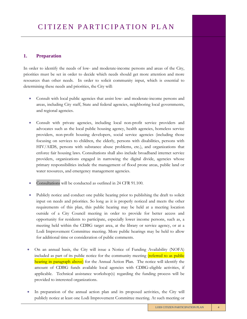#### **1. Preparation**

In order to identify the needs of low- and moderate-income persons and areas of the City, priorities must be set in order to decide which needs should get more attention and more resources than other needs. In order to solicit community input, which is essential to determining these needs and priorities, the City will:

- Consult with local public agencies that assist low- and moderate-income persons and areas, including City staff, State and federal agencies, neighboring local governments, and regional agencies.
- Consult with private agencies, including local non-profit service providers and advocates such as the local public housing agency, health agencies, homeless service providers, non-profit housing developers, social service agencies (including those focusing on services to children, the elderly, persons with disabilities, persons with HIV/AIDS, persons with substance abuse problems, etc.), and organizations that enforce fair housing laws. Consultations shall also include broadband internet service providers, organizations engaged in narrowing the digital divide, agencies whose primary responsibilities include the management of flood prone areas, public land or water resources, and emergency management agencies.
- Consultations will be conducted as outlined in 24 CFR 91.100.
- Publicly notice and conduct one public hearing prior to publishing the draft to solicit input on needs and priorities. So long as it is properly noticed and meets the other requirements of this plan, this public hearing may be held at a meeting location outside of a City Council meeting in order to provide for better access and opportunity for residents to participate, especially lower income persons, such as, a meeting held within the CDBG target area, at the library or service agency, or at a Lodi Improvement Committee meeting. More public hearings may be held to allow for additional time or consideration of public comments.
- On an annual basis, the City will issue a Notice of Funding Availability (NOFA) included as part of its public notice for the community meeting *(referred to as public* hearing in paragraph above) for the Annual Action Plan. The notice will identify the amount of CDBG funds available local agencies with CDBG-eligible activities, if applicable. Technical assistance workshop(s) regarding the funding process will be provided to interested organizations.
- In preparation of the annual action plan and its proposed activities, the City will publicly notice at least one Lodi Improvement Committee meeting. At such meeting or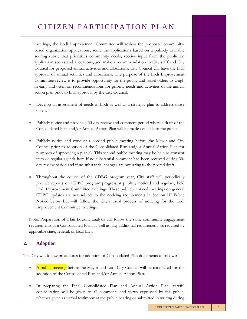meetings, the Lodi Improvement Committee will review the proposed communitybased organization applications, score the applications based on a publicly available scoring rubric that prioritizes community needs, receive input from the public on application scores and allocations, and make a recommendation to City staff and City Council for proposed annual activities and allocations. City Council will have the final approval of annual activities and allocations. The purpose of the Lodi Improvement Committee review is to provide opportunity for the public and stakeholders to weigh in early and often on recommendations for priority needs and activities of the annual action plan prior to final approval by the City Council.

- Develop an assessment of needs in Lodi as well as a strategic plan to address those needs.
- Publicly notice and provide a 30-day review and comment period where a draft of the Consolidated Plan and/or Annual Action Plan will be made available to the public.
- Publicly notice and conduct a second public meeting before the Mayor and City Council prior to adoption of the Consolidated Plan and/or Annual Action Plan for purposes of approving a plan(s). This second public meeting may be held as consent item or regular agenda item if no substantial comment had been received during 30 day review period and if no substantial changes are occurring to the posted draft.
- Throughout the course of the CDBG program year, City staff will periodically provide reports on CDBG program progress at publicly noticed and regularly held Lodi Improvement Committee meetings. These publicly noticed meetings on general CDBG updates are not subject to the noticing requirements in Section III Public Notice below but will follow the City's usual process of noticing for the Lodi Improvement Committee meetings.

Note: Preparation of a fair housing analysis will follow the same community engagement requirements as a Consolidated Plan, as well as, any additional requirements as required by applicable state, federal, or local laws.

#### **2. Adoption**

The City will follow procedures for adoption of Consolidated Plan documents as follows:

- A public meeting before the Mayor and Lodi City Council will be conducted for the adoption of the Consolidated Plan and/or Annual Action Plan.
- In preparing the Final Consolidated Plan and Annual Action Plan, careful consideration will be given to all comments and views expressed by the public, whether given as verbal testimony at the public hearing or submitted in writing during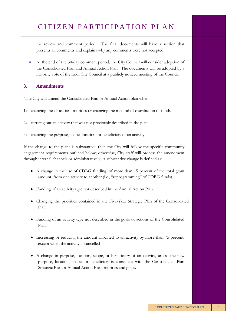the review and comment period. The final documents will have a section that presents all comments and explains why any comments were not accepted.

• At the end of the 30-day comment period, the City Council will consider adoption of the Consolidated Plan and Annual Action Plan. The documents will be adopted by a majority vote of the Lodi City Council at a publicly noticed meeting of the Council.

#### **3. Amendments**

The City will amend the Consolidated Plan or Annual Action plan when:

- 1) changing the allocation priorities or changing the method of distribution of funds
- 2) carrying out an activity that was not previously described in the plan
- 3) changing the purpose, scope, location, or beneficiary of an activity.

If the change to the plans is substantive, then the City will follow the specific community engagement requirements outlined below; otherwise, City staff will process the amendment through internal channels or administratively. A substantive change is defined as:

- A change in the use of CDBG funding, of more than 15 percent of the total grant amount, from one activity to another (i.e., "reprogramming" of CDBG funds).
- Funding of an activity type not described in the Annual Action Plan.
- Changing the priorities contained in the Five-Year Strategic Plan of the Consolidated Plan
- Funding of an activity type not described in the goals or actions of the Consolidated Plan.
- Increasing or reducing the amount allocated to an activity by more than 75 percent, except when the activity is cancelled
- A change in purpose, location, scope, or beneficiary of an activity, unless the new purpose, location, scope, or beneficiary is consistent with the Consolidated Plan Strategic Plan or Annual Action Plan priorities and goals.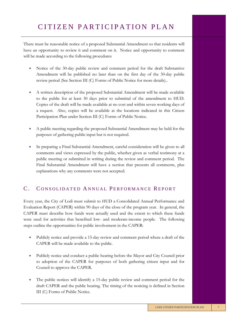There must be reasonable notice of a proposed Substantial Amendment so that residents will have an opportunity to review it and comment on it. Notice and opportunity to comment will be made according to the following procedures

- Notice of the 30-day public review and comment period for the draft Substantive Amendment will be published no later than on the first day of the 30-day public review period (See Section III (C) Forms of Public Notice for more details)..
- A written description of the proposed Substantial Amendment will be made available to the public for at least 30 days prior to submittal of the amendment to HUD. Copies of the draft will be made available at no cost and within seven working days of a request. Also, copies will be available at the locations indicated in this Citizen Participation Plan under Section III (C) Forms of Public Notice.
- A public meeting regarding the proposed Substantial Amendment may be held for the purposes of gathering public input but is not required.
- In preparing a Final Substantial Amendment, careful consideration will be given to all comments and views expressed by the public, whether given as verbal testimony at a public meeting or submitted in writing during the review and comment period. The Final Substantial Amendment will have a section that presents all comments, plus explanations why any comments were not accepted.

### C. CONSOLIDATED ANNUAL PERFORMANCE REPORT

Every year, the City of Lodi must submit to HUD a Consolidated Annual Performance and Evaluation Report (CAPER) within 90 days of the close of the program year. In general, the CAPER must describe how funds were actually used and the extent to which these funds were used for activities that benefited low- and moderate-income people. The following steps outline the opportunities for public involvement in the CAPER:

- Publicly notice and provide a 15-day review and comment period where a draft of the CAPER will be made available to the public.
- Publicly notice and conduct a public hearing before the Mayor and City Council prior to adoption of the CAPER for purposes of both gathering citizen input and for Council to approve the CAPER.
- The public notices will identify a 15-day public review and comment period for the draft CAPER and the public hearing. The timing of the noticing is defined in Section III (C) Forms of Public Notice.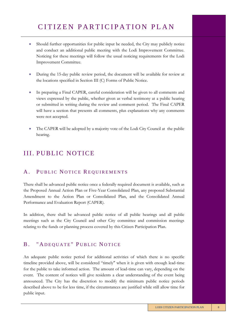- Should further opportunities for public input be needed, the City may publicly notice and conduct an additional public meeting with the Lodi Improvement Committee. Noticing for these meetings will follow the usual noticing requirements for the Lodi Improvement Committee.
- During the 15-day public review period, the document will be available for review at the locations specified in Section III (C) Forms of Public Notice.
- In preparing a Final CAPER, careful consideration will be given to all comments and views expressed by the public, whether given as verbal testimony at a public hearing or submitted in writing during the review and comment period. The Final CAPER will have a section that presents all comments, plus explanations why any comments were not accepted.
- The CAPER will be adopted by a majority vote of the Lodi City Council at the public hearing.

### **III. PUBLIC NOTICE**

#### A. PUBLIC NOTICE REQUIREMENTS

There shall be advanced public notice once a federally required document is available, such as the Proposed Annual Action Plan or Five-Year Consolidated Plan, any proposed Substantial Amendment to the Action Plan or Consolidated Plan, and the Consolidated Annual Performance and Evaluation Report (CAPER).

In addition, there shall be advanced public notice of all public hearings and all public meetings such as the City Council and other City committee and commission meetings relating to the funds or planning process covered by this Citizen Participation Plan.

### B. "ADEQUATE" PUBLIC NOTICE

An adequate public notice period for additional activities of which there is no specific timeline provided above, will be considered "timely" when it is given with enough lead-time for the public to take informed action. The amount of lead-time can vary, depending on the event. The content of notices will give residents a clear understanding of the event being announced. The City has the discretion to modify the minimum public notice periods described above to be for less time, if the circumstances are justified while still allow time for public input.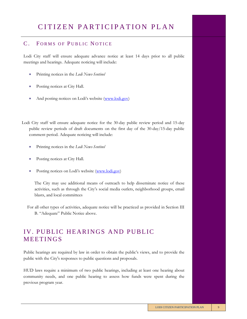#### C. FORMS OF PUBLIC NOTICE

Lodi City staff will ensure adequate advance notice at least 14 days prior to all public meetings and hearings. Adequate noticing will include:

- Printing notices in the *Lodi News-Sentinel*
- Posting notices at City Hall.
- And posting notices on Lodi's website ([www.lodi.gov\)](http://www.lodi.gov/)

Lodi City staff will ensure adequate notice for the 30-day public review period and 15-day public review periods of draft documents on the first day of the 30-day/15-day public comment period. Adequate noticing will include:

- Printing notices in the *Lodi News-Sentinel*
- Posting notices at City Hall.
- Posting notices on Lodi's website ([www.lodi.gov\)](http://www.lodi.gov/)

The City may use additional means of outreach to help disseminate notice of these activities, such as through the City's social media outlets, neighborhood groups, email blasts, and local committees

For all other types of activities, adequate notice will be practiced as provided in Section III B. "Adequate" Public Notice above.

## IV. PUBLIC HEARINGS AND PUBLIC **MEETINGS**

Public hearings are required by law in order to obtain the public's views, and to provide the public with the City's responses to public questions and proposals.

HUD laws require a minimum of two public hearings, including at least one hearing about community needs, and one public hearing to assess how funds were spent during the previous program year.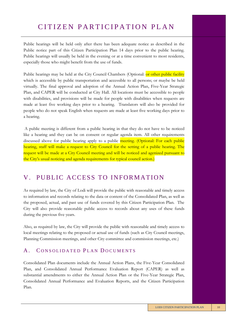Public hearings will be held only after there has been adequate notice as described in the Public notice part of this Citizen Participation Plan 14 days prior to the public hearing. Public hearings will usually be held in the evening or at a time convenient to most residents, especially those who might benefit from the use of funds.

Public hearings may be held at the City Council Chambers (Optional: or other public facility which is accessible by public transportation and accessible to all persons; or maybe be held virtually. The final approval and adoption of the Annual Action Plan, Five-Year Strategic Plan, and CAPER will be conducted at City Hall. All locations must be accessible to people with disabilities, and provisions will be made for people with disabilities when requests are made at least five working days prior to a hearing. Translators will also be provided for people who do not speak English when requests are made at least five working days prior to a hearing.

A public meeting is different from a public hearing in that they do not have to be noticed like a hearing and they can be on consent or regular agenda item. All other requirements discussed above for public hearing apply to a public meeting. (Optional: For each public hearing, staff will make a request to City Council for the setting of a public hearing. The request will be made at a City Council meeting and will be noticed and agenized pursuant to the City's usual noticing and agenda requirements for typical council action.)

### V. PUBLIC ACCESS TO INFORMATION

As required by law, the City of Lodi will provide the public with reasonable and timely access to information and records relating to the data or content of the Consolidated Plan, as well as the proposed, actual, and past use of funds covered by this Citizen Participation Plan. The City will also provide reasonable public access to records about any uses of these funds during the previous five years.

Also, as required by law, the City will provide the public with reasonable and timely access to local meetings relating to the proposed or actual use of funds (such as City Council meetings, Planning Commission meetings, and other City committee and commission meetings, etc.)

#### A. CONSOLIDATED PLAN DOCUMENTS

Consolidated Plan documents include the Annual Action Plans, the Five-Year Consolidated Plan, and Consolidated Annual Performance Evaluation Report (CAPER) as well as substantial amendments to either the Annual Action Plan or the Five-Year Strategic Plan, Consolidated Annual Performance and Evaluation Reports, and the Citizen Participation Plan.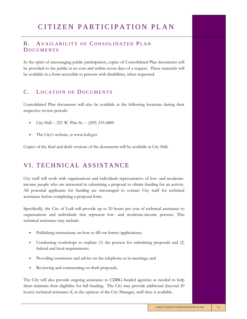#### B. AVAILABILITY OF CONSOLIDATED PLAN **DOCUMENTS**

In the spirit of encouraging public participation, copies of Consolidated Plan documents will be provided to the public at no cost and within seven days of a request. These materials will be available in a form accessible to persons with disabilities, when requested.

#### C. LOCATION OF DOCUMENTS

Consolidated Plan documents will also be available at the following locations during their respective review periods:

- City Hall -- 221 W. Pine St. -- (209) 333-6800
- The City's website, at www.lodi.gov

Copies of the final and draft versions of the documents will be available at City Hall.

### VI. TECHNICAL ASSISTANCE

City staff will work with organizations and individuals representative of low- and moderateincome people who are interested in submitting a proposal to obtain funding for an activity. All potential applicants for funding are encouraged to contact City staff for technical assistance before completing a proposal form.

Specifically, the City of Lodi will provide up to 20 hours per year of technical assistance to organizations and individuals that represent low- and moderate-income persons. This technical assistance may include:

- Publishing instructions on how to fill out forms/applications;
- Conducting workshops to explain: (1) the process for submitting proposals and (2) federal and local requirements;
- Providing comments and advice on the telephone or in meetings; and
- Reviewing and commenting on draft proposals.

The City will also provide ongoing assistance to CDBG-funded agencies as needed to help them maintain their eligibility for full funding. The City may provide additional (beyond 20 hours) technical assistance if, in the opinion of the City Manager, staff time is available.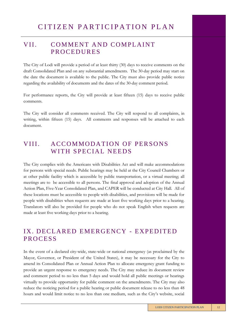### VII. COMMENT AND COMPLAINT **PROCEDURES**

The City of Lodi will provide a period of at least thirty (30) days to receive comments on the draft Consolidated Plan and on any substantial amendments. The 30-day period may start on the date the document is available to the public. The City must also provide public notice regarding the availability of documents and the dates of the 30-day comment period.

For performance reports, the City will provide at least fifteen (15) days to receive public comments.

The City will consider all comments received. The City will respond to all complaints, in writing, within fifteen (15) days. All comments and responses will be attached to each document.

### VIII. ACCOMMODATION OF PERSONS WITH SPECIAL NEEDS

The City complies with the Americans with Disabilities Act and will make accommodations for persons with special needs. Public hearings may be held at the City Council Chambers or at other public facility which is accessible by public transportation, or a virtual meeting; all meetings are to be accessible to all persons. The final approval and adoption of the Annual Action Plan, Five-Year Consolidated Plan, and CAPER will be conducted at City Hall. All of these locations must be accessible to people with disabilities, and provisions will be made for people with disabilities when requests are made at least five working days prior to a hearing. Translators will also be provided for people who do not speak English when requests are made at least five working days prior to a hearing.

## IX. DECLARED EMERGENCY - EXPEDITED **PROCESS**

In the event of a declared city-wide, state-wide or national emergency (as proclaimed by the Mayor, Governor, or President of the United States), it may be necessary for the City to amend its Consolidated Plan or Annual Action Plan to allocate emergency grant funding to provide an urgent response to emergency needs. The City may reduce its document review and comment period to no less than 5 days and would hold all public meetings or hearings virtually to provide opportunity for public comment on the amendments. The City may also reduce the noticing period for a public hearing or public document release to no less than 48 hours and would limit notice to no less than one medium, such as the City's website, social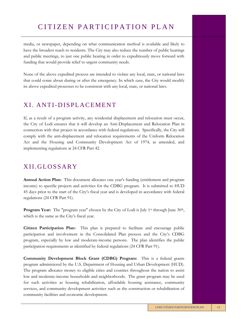media, or newspaper, depending on what communication method is available and likely to have the broadest reach to residents. The City may also reduce the number of public hearings and public meetings, to just one public hearing in order to expeditiously move forward with funding that would provide relief to urgent community needs.

None of the above expedited process are intended to violate any local, state, or national laws that could come about during or after the emergency. In which case, the City would modify its above expedited processes to be consistent with any local, state, or national laws.

### XI. ANTI-DISPLACEMENT

If, as a result of a program activity, any residential displacement and relocation must occur, the City of Lodi ensures that it will develop an Anti-Displacement and Relocation Plan in connection with that project in accordance with federal regulations. Specifically, the City will comply with the anti-displacement and relocation requirements of the Uniform Relocation Act and the Housing and Community Development Act of 1974, as amended, and implementing regulations at 24 CFR Part 42.

### XII. GLOSSARY

**Annual Action Plan:** This document allocates one year's funding (entitlement and program income) to specific projects and activities for the CDBG program. It is submitted to HUD 45 days prior to the start of the City's fiscal year and is developed in accordance with federal regulations (24 CFR Part 91).

**Program Year:** The "program year" chosen by the City of Lodi is July 1<sup>st</sup> through June 30<sup>th</sup>, which is the same as the City's fiscal year.

**Citizen Participation Plan:** This plan is prepared to facilitate and encourage public participation and involvement in the Consolidated Plan process and the City's CDBG program, especially by low and moderate-income persons. The plan identifies the public participation requirements as identified by federal regulations (24 CFR Part 91).

**Community Development Block Grant (CDBG) Program:** This is a federal grants program administered by the U.S. Department of Housing and Urban Development (HUD). The program allocates money to eligible cities and counties throughout the nation to assist low and moderate-income households and neighborhoods. The grant program may be used for such activities as housing rehabilitation, affordable housing assistance, community services, and community development activities such as the construction or rehabilitation of community facilities and economic development.